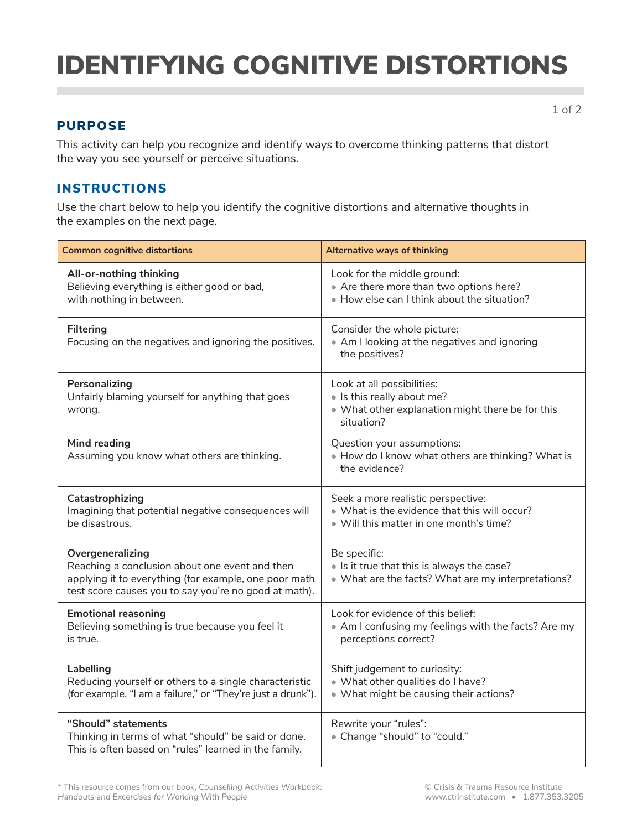# IDENTIFYING COGNITIVE DISTORTIONS

### PURPOSE

This activity can help you recognize and identify ways to overcome thinking patterns that distort the way you see yourself or perceive situations.

### INSTRUCTIONS

Use the chart below to help you identify the cognitive distortions and alternative thoughts in the examples on the next page.

| <b>Common cognitive distortions</b>                                                                                                                                                  | <b>Alternative ways of thinking</b>                                                                                           |
|--------------------------------------------------------------------------------------------------------------------------------------------------------------------------------------|-------------------------------------------------------------------------------------------------------------------------------|
| All-or-nothing thinking<br>Believing everything is either good or bad,<br>with nothing in between.                                                                                   | Look for the middle ground:<br>• Are there more than two options here?<br>. How else can I think about the situation?         |
| <b>Filtering</b><br>Focusing on the negatives and ignoring the positives.                                                                                                            | Consider the whole picture:<br>• Am I looking at the negatives and ignoring<br>the positives?                                 |
| Personalizing<br>Unfairly blaming yourself for anything that goes<br>wrong.                                                                                                          | Look at all possibilities:<br>· Is this really about me?<br>• What other explanation might there be for this<br>situation?    |
| <b>Mind reading</b><br>Assuming you know what others are thinking.                                                                                                                   | Question your assumptions:<br>. How do I know what others are thinking? What is<br>the evidence?                              |
| Catastrophizing<br>Imagining that potential negative consequences will<br>be disastrous.                                                                                             | Seek a more realistic perspective:<br>. What is the evidence that this will occur?<br>. Will this matter in one month's time? |
| Overgeneralizing<br>Reaching a conclusion about one event and then<br>applying it to everything (for example, one poor math<br>test score causes you to say you're no good at math). | Be specific:<br>. Is it true that this is always the case?<br>• What are the facts? What are my interpretations?              |
| <b>Emotional reasoning</b><br>Believing something is true because you feel it<br>is true.                                                                                            | Look for evidence of this belief:<br>• Am I confusing my feelings with the facts? Are my<br>perceptions correct?              |
| Labelling<br>Reducing yourself or others to a single characteristic<br>(for example, "I am a failure," or "They're just a drunk").                                                   | Shift judgement to curiosity:<br>. What other qualities do I have?<br>• What might be causing their actions?                  |
| "Should" statements<br>Thinking in terms of what "should" be said or done.<br>This is often based on "rules" learned in the family.                                                  | Rewrite your "rules":<br>• Change "should" to "could."                                                                        |